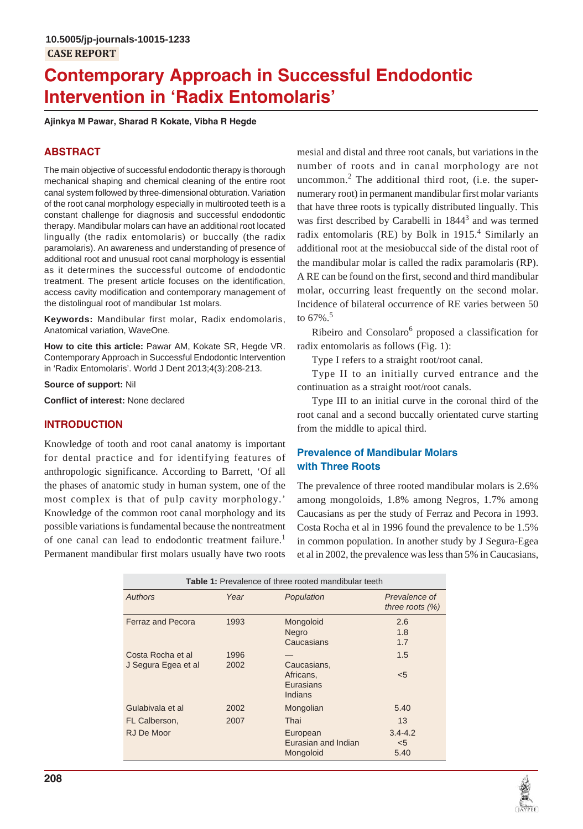# **Contemporary Approach in Successful Endodontic Intervention in 'Radix Entomolaris'**

**Ajinkya M Pawar, Sharad R Kokate, Vibha R Hegde**

# **ABSTRACT**

The main objective of successful endodontic therapy is thorough mechanical shaping and chemical cleaning of the entire root canal system followed by three-dimensional obturation. Variation of the root canal morphology especially in multirooted teeth is a constant challenge for diagnosis and successful endodontic therapy. Mandibular molars can have an additional root located lingually (the radix entomolaris) or buccally (the radix paramolaris). An awareness and understanding of presence of additional root and unusual root canal morphology is essential as it determines the successful outcome of endodontic treatment. The present article focuses on the identification, access cavity modification and contemporary management of the distolingual root of mandibular 1st molars.

**Keywords:** Mandibular first molar, Radix endomolaris, Anatomical variation, WaveOne.

**How to cite this article:** Pawar AM, Kokate SR, Hegde VR. Contemporary Approach in Successful Endodontic Intervention in 'Radix Entomolaris'. World J Dent 2013;4(3):208-213.

**Source of support:** Nil

**Conflict of interest:** None declared

# **INTRODUCTION**

Knowledge of tooth and root canal anatomy is important for dental practice and for identifying features of anthropologic significance. According to Barrett, 'Of all the phases of anatomic study in human system, one of the most complex is that of pulp cavity morphology.' Knowledge of the common root canal morphology and its possible variations is fundamental because the nontreatment of one canal can lead to endodontic treatment failure.<sup>1</sup> Permanent mandibular first molars usually have two roots

mesial and distal and three root canals, but variations in the number of roots and in canal morphology are not uncommon. $2$  The additional third root, (i.e. the supernumerary root) in permanent mandibular first molar variants that have three roots is typically distributed lingually. This was first described by Carabelli in 1844<sup>3</sup> and was termed radix entomolaris (RE) by Bolk in 1915.<sup>4</sup> Similarly an additional root at the mesiobuccal side of the distal root of the mandibular molar is called the radix paramolaris (RP). A RE can be found on the first, second and third mandibular molar, occurring least frequently on the second molar. Incidence of bilateral occurrence of RE varies between 50 to 67%.<sup>5</sup>

Ribeiro and Consolaro<sup>6</sup> proposed a classification for radix entomolaris as follows (Fig. 1):

Type I refers to a straight root/root canal.

Type II to an initially curved entrance and the continuation as a straight root/root canals.

Type III to an initial curve in the coronal third of the root canal and a second buccally orientated curve starting from the middle to apical third.

# **Prevalence of Mandibular Molars with Three Roots**

The prevalence of three rooted mandibular molars is 2.6% among mongoloids, 1.8% among Negros, 1.7% among Caucasians as per the study of Ferraz and Pecora in 1993. Costa Rocha et al in 1996 found the prevalence to be 1.5% in common population. In another study by J Segura-Egea et al in 2002, the prevalence was less than 5% in Caucasians,

| <b>Table 1:</b> Prevalence of three rooted mandibular teeth |              |                                                  |                                     |
|-------------------------------------------------------------|--------------|--------------------------------------------------|-------------------------------------|
| <b>Authors</b>                                              | Year         | Population                                       | Prevalence of<br>three roots $(\%)$ |
| <b>Ferraz and Pecora</b>                                    | 1993         | Mongoloid<br>Negro<br>Caucasians                 | 2.6<br>1.8<br>1.7                   |
| Costa Rocha et al<br>J Segura Egea et al                    | 1996<br>2002 | Caucasians,<br>Africans,<br>Eurasians<br>Indians | 1.5<br>$5$                          |
| Gulabivala et al                                            | 2002         | Mongolian                                        | 5.40                                |
| FL Calberson,                                               | 2007         | Thai                                             | 13                                  |
| RJ De Moor                                                  |              | European<br>Eurasian and Indian<br>Mongoloid     | $3.4 - 4.2$<br>$<$ 5<br>5.40        |

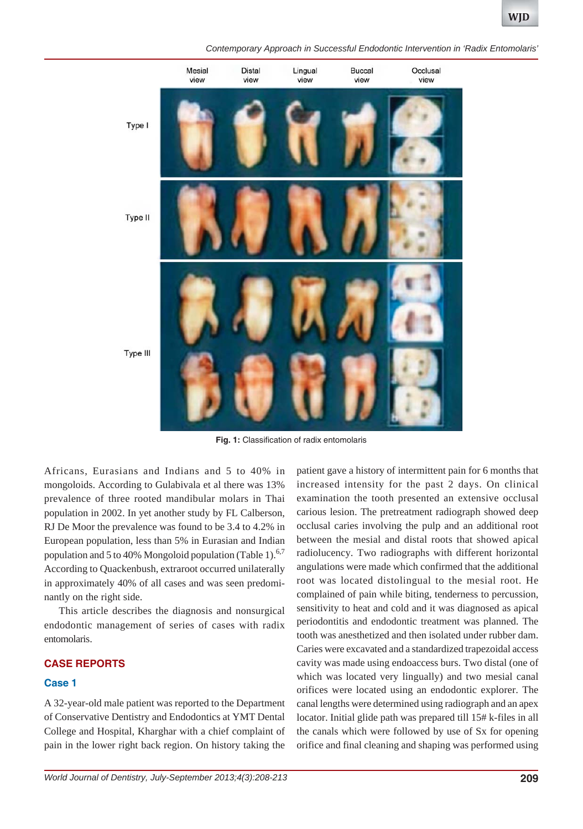*Contemporary Approach in Successful Endodontic Intervention in 'Radix Entomolaris'*



**Fig. 1:** Classification of radix entomolaris

Africans, Eurasians and Indians and 5 to 40% in mongoloids. According to Gulabivala et al there was 13% prevalence of three rooted mandibular molars in Thai population in 2002. In yet another study by FL Calberson, RJ De Moor the prevalence was found to be 3.4 to 4.2% in European population, less than 5% in Eurasian and Indian population and 5 to 40% Mongoloid population (Table 1). $6,7$ According to Quackenbush, extraroot occurred unilaterally in approximately 40% of all cases and was seen predominantly on the right side.

This article describes the diagnosis and nonsurgical endodontic management of series of cases with radix entomolaris.

#### **CASE REPORTS**

#### **Case 1**

A 32-year-old male patient was reported to the Department of Conservative Dentistry and Endodontics at YMT Dental College and Hospital, Kharghar with a chief complaint of pain in the lower right back region. On history taking the patient gave a history of intermittent pain for 6 months that increased intensity for the past 2 days. On clinical examination the tooth presented an extensive occlusal carious lesion. The pretreatment radiograph showed deep occlusal caries involving the pulp and an additional root between the mesial and distal roots that showed apical radiolucency. Two radiographs with different horizontal angulations were made which confirmed that the additional root was located distolingual to the mesial root. He complained of pain while biting, tenderness to percussion, sensitivity to heat and cold and it was diagnosed as apical periodontitis and endodontic treatment was planned. The tooth was anesthetized and then isolated under rubber dam. Caries were excavated and a standardized trapezoidal access cavity was made using endoaccess burs. Two distal (one of which was located very lingually) and two mesial canal orifices were located using an endodontic explorer. The canal lengths were determined using radiograph and an apex locator. Initial glide path was prepared till 15# k-files in all the canals which were followed by use of Sx for opening orifice and final cleaning and shaping was performed using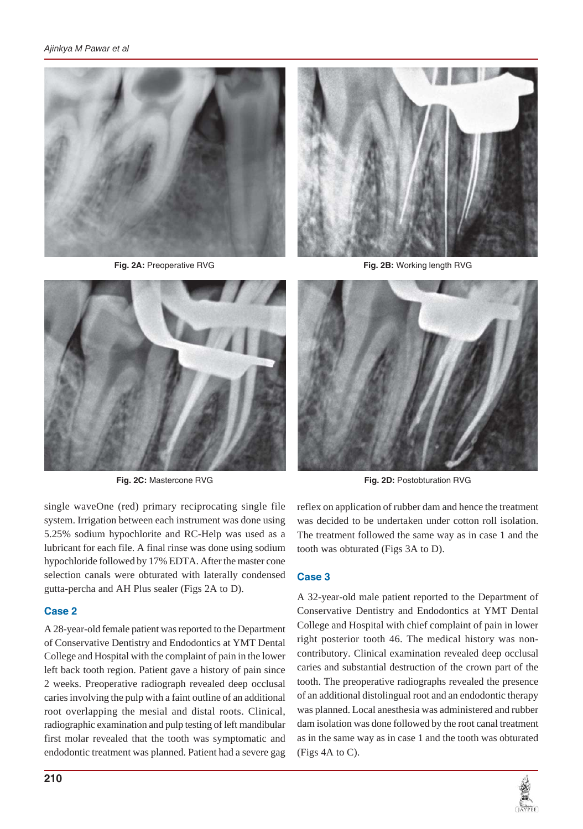

**Fig. 2A:** Preoperative RVG **Fig. 2B:** Working length RVG



single waveOne (red) primary reciprocating single file system. Irrigation between each instrument was done using 5.25% sodium hypochlorite and RC-Help was used as a lubricant for each file. A final rinse was done using sodium hypochloride followed by 17% EDTA. After the master cone selection canals were obturated with laterally condensed gutta-percha and AH Plus sealer (Figs 2A to D).

## **Case 2**

A 28-year-old female patient was reported to the Department of Conservative Dentistry and Endodontics at YMT Dental College and Hospital with the complaint of pain in the lower left back tooth region. Patient gave a history of pain since 2 weeks. Preoperative radiograph revealed deep occlusal caries involving the pulp with a faint outline of an additional root overlapping the mesial and distal roots. Clinical, radiographic examination and pulp testing of left mandibular first molar revealed that the tooth was symptomatic and endodontic treatment was planned. Patient had a severe gag





**Fig. 2C:** Mastercone RVG **Fig. 2D:** Postobturation RVG

reflex on application of rubber dam and hence the treatment was decided to be undertaken under cotton roll isolation. The treatment followed the same way as in case 1 and the tooth was obturated (Figs 3A to D).

## **Case 3**

A 32-year-old male patient reported to the Department of Conservative Dentistry and Endodontics at YMT Dental College and Hospital with chief complaint of pain in lower right posterior tooth 46. The medical history was noncontributory. Clinical examination revealed deep occlusal caries and substantial destruction of the crown part of the tooth. The preoperative radiographs revealed the presence of an additional distolingual root and an endodontic therapy was planned. Local anesthesia was administered and rubber dam isolation was done followed by the root canal treatment as in the same way as in case 1 and the tooth was obturated (Figs 4A to C).

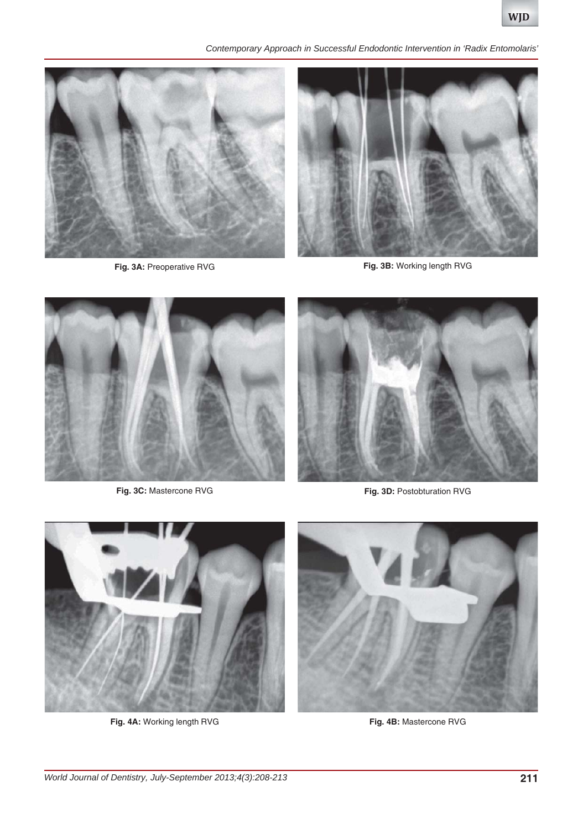*Contemporary Approach in Successful Endodontic Intervention in 'Radix Entomolaris'*





**Fig. 3A:** Preoperative RVG **Fig. 3B:** Working length RVG





**Fig. 3C:** Mastercone RVG **Fig. 3D:** Postobturation RVG



**Fig. 4A:** Working length RVG **Fig. 4B:** Mastercone RVG

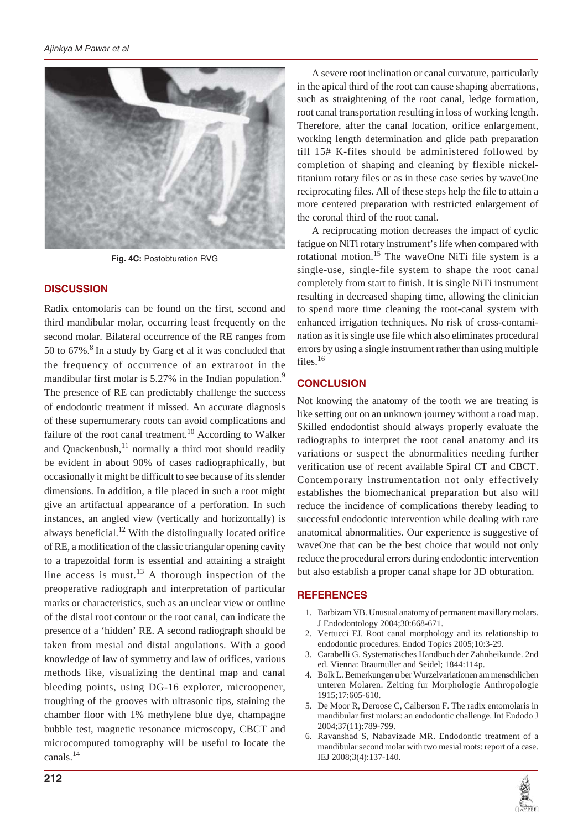

**Fig. 4C:** Postobturation RVG

## **DISCUSSION**

Radix entomolaris can be found on the first, second and third mandibular molar, occurring least frequently on the second molar. Bilateral occurrence of the RE ranges from 50 to 67%.<sup>8</sup> In a study by Garg et al it was concluded that the frequency of occurrence of an extraroot in the mandibular first molar is 5.27% in the Indian population.<sup>9</sup> The presence of RE can predictably challenge the success of endodontic treatment if missed. An accurate diagnosis of these supernumerary roots can avoid complications and failure of the root canal treatment.<sup>10</sup> According to Walker and Quackenbush, $^{11}$  normally a third root should readily be evident in about 90% of cases radiographically, but occasionally it might be difficult to see because of its slender dimensions. In addition, a file placed in such a root might give an artifactual appearance of a perforation. In such instances, an angled view (vertically and horizontally) is always beneficial.<sup>12</sup> With the distolingually located orifice of RE, a modification of the classic triangular opening cavity to a trapezoidal form is essential and attaining a straight line access is must.<sup>13</sup> A thorough inspection of the preoperative radiograph and interpretation of particular marks or characteristics, such as an unclear view or outline of the distal root contour or the root canal, can indicate the presence of a 'hidden' RE. A second radiograph should be taken from mesial and distal angulations. With a good knowledge of law of symmetry and law of orifices, various methods like, visualizing the dentinal map and canal bleeding points, using DG-16 explorer, microopener, troughing of the grooves with ultrasonic tips, staining the chamber floor with 1% methylene blue dye, champagne bubble test, magnetic resonance microscopy, CBCT and microcomputed tomography will be useful to locate the canals.<sup>14</sup>

A severe root inclination or canal curvature, particularly in the apical third of the root can cause shaping aberrations, such as straightening of the root canal, ledge formation, root canal transportation resulting in loss of working length. Therefore, after the canal location, orifice enlargement, working length determination and glide path preparation till 15# K-files should be administered followed by completion of shaping and cleaning by flexible nickeltitanium rotary files or as in these case series by waveOne reciprocating files. All of these steps help the file to attain a more centered preparation with restricted enlargement of the coronal third of the root canal.

A reciprocating motion decreases the impact of cyclic fatigue on NiTi rotary instrument's life when compared with rotational motion.15 The waveOne NiTi file system is a single-use, single-file system to shape the root canal completely from start to finish. It is single NiTi instrument resulting in decreased shaping time, allowing the clinician to spend more time cleaning the root-canal system with enhanced irrigation techniques. No risk of cross-contamination as it is single use file which also eliminates procedural errors by using a single instrument rather than using multiple files.<sup>16</sup>

## **CONCLUSION**

Not knowing the anatomy of the tooth we are treating is like setting out on an unknown journey without a road map. Skilled endodontist should always properly evaluate the radiographs to interpret the root canal anatomy and its variations or suspect the abnormalities needing further verification use of recent available Spiral CT and CBCT. Contemporary instrumentation not only effectively establishes the biomechanical preparation but also will reduce the incidence of complications thereby leading to successful endodontic intervention while dealing with rare anatomical abnormalities. Our experience is suggestive of waveOne that can be the best choice that would not only reduce the procedural errors during endodontic intervention but also establish a proper canal shape for 3D obturation.

## **REFERENCES**

- 1. Barbizam VB. Unusual anatomy of permanent maxillary molars. J Endodontology 2004;30:668-671.
- 2. Vertucci FJ. Root canal morphology and its relationship to endodontic procedures. Endod Topics 2005;10:3-29.
- 3. Carabelli G. Systematisches Handbuch der Zahnheikunde. 2nd ed. Vienna: Braumuller and Seidel; 1844:114p.
- 4. Bolk L. Bemerkungen u ber Wurzelvariationen am menschlichen unteren Molaren. Zeiting fur Morphologie Anthropologie 1915;17:605-610.
- 5. De Moor R, Deroose C, Calberson F. The radix entomolaris in mandibular first molars: an endodontic challenge. Int Endodo J 2004;37(11):789-799.
- 6. Ravanshad S, Nabavizade MR. Endodontic treatment of a mandibular second molar with two mesial roots: report of a case. IEJ 2008;3(4):137-140.